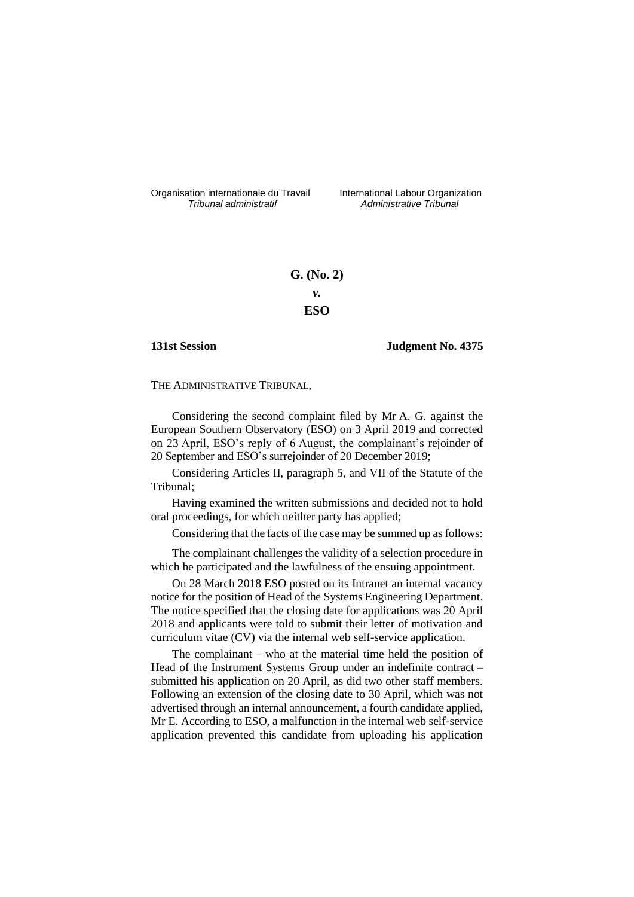Organisation internationale du Travail liternational Labour Organization<br> *Tribunal administratif Administrative Tribunal* 

*Tribunal administratif Administrative Tribunal*

# **G. (No. 2)** *v.* **ESO**

### **131st Session Judgment No. 4375**

THE ADMINISTRATIVE TRIBUNAL,

Considering the second complaint filed by Mr A. G. against the European Southern Observatory (ESO) on 3 April 2019 and corrected on 23 April, ESO's reply of 6 August, the complainant's rejoinder of 20 September and ESO's surrejoinder of 20 December 2019;

Considering Articles II, paragraph 5, and VII of the Statute of the Tribunal;

Having examined the written submissions and decided not to hold oral proceedings, for which neither party has applied;

Considering that the facts of the case may be summed up as follows:

The complainant challenges the validity of a selection procedure in which he participated and the lawfulness of the ensuing appointment.

On 28 March 2018 ESO posted on its Intranet an internal vacancy notice for the position of Head of the Systems Engineering Department. The notice specified that the closing date for applications was 20 April 2018 and applicants were told to submit their letter of motivation and curriculum vitae (CV) via the internal web self-service application.

The complainant – who at the material time held the position of Head of the Instrument Systems Group under an indefinite contract submitted his application on 20 April, as did two other staff members. Following an extension of the closing date to 30 April, which was not advertised through an internal announcement, a fourth candidate applied, Mr E. According to ESO, a malfunction in the internal web self-service application prevented this candidate from uploading his application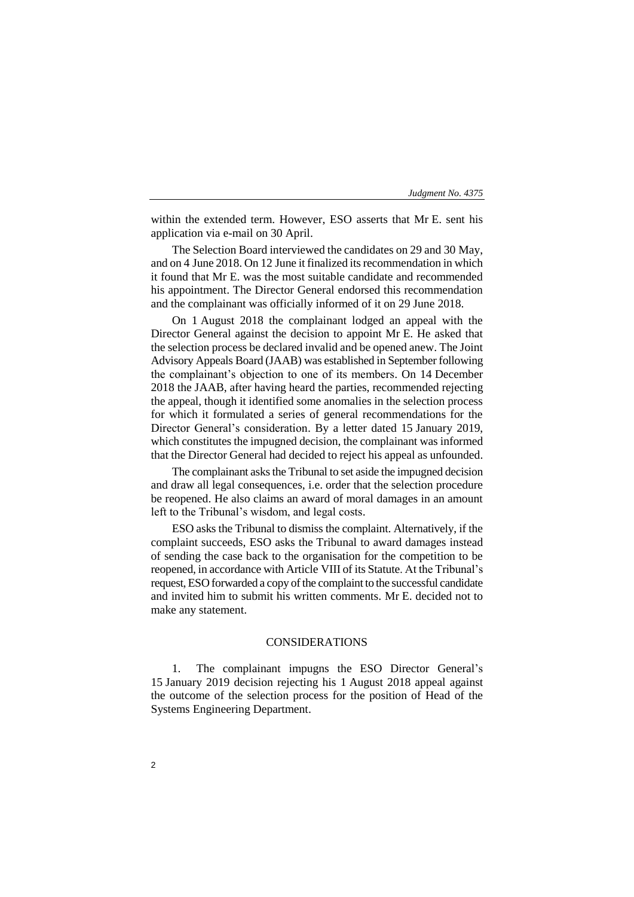within the extended term. However, ESO asserts that Mr E. sent his application via e-mail on 30 April.

The Selection Board interviewed the candidates on 29 and 30 May, and on 4 June 2018. On 12 June it finalized its recommendation in which it found that Mr E. was the most suitable candidate and recommended his appointment. The Director General endorsed this recommendation and the complainant was officially informed of it on 29 June 2018.

On 1 August 2018 the complainant lodged an appeal with the Director General against the decision to appoint Mr E. He asked that the selection process be declared invalid and be opened anew. The Joint Advisory Appeals Board (JAAB) was established in September following the complainant's objection to one of its members. On 14 December 2018 the JAAB, after having heard the parties, recommended rejecting the appeal, though it identified some anomalies in the selection process for which it formulated a series of general recommendations for the Director General's consideration. By a letter dated 15 January 2019, which constitutes the impugned decision, the complainant was informed that the Director General had decided to reject his appeal as unfounded.

The complainant asks the Tribunal to set aside the impugned decision and draw all legal consequences, i.e. order that the selection procedure be reopened. He also claims an award of moral damages in an amount left to the Tribunal's wisdom, and legal costs.

ESO asks the Tribunal to dismiss the complaint. Alternatively, if the complaint succeeds, ESO asks the Tribunal to award damages instead of sending the case back to the organisation for the competition to be reopened, in accordance with Article VIII of its Statute. At the Tribunal's request, ESO forwarded a copy of the complaint to the successful candidate and invited him to submit his written comments. Mr E. decided not to make any statement.

#### CONSIDERATIONS

1. The complainant impugns the ESO Director General's 15 January 2019 decision rejecting his 1 August 2018 appeal against the outcome of the selection process for the position of Head of the Systems Engineering Department.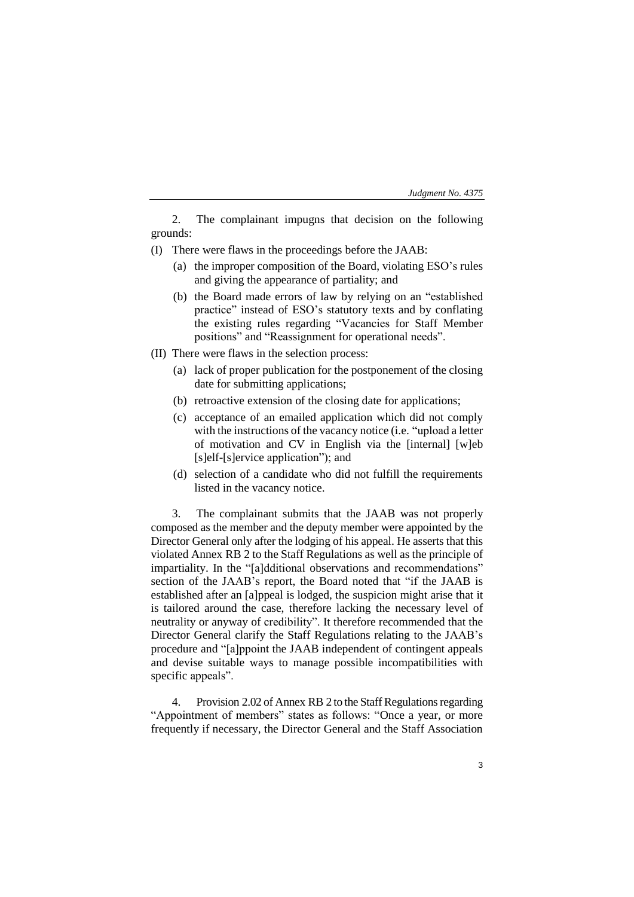| Judgment No. 4375 |  |  |
|-------------------|--|--|
|-------------------|--|--|

2. The complainant impugns that decision on the following grounds:

- (I) There were flaws in the proceedings before the JAAB:
	- (a) the improper composition of the Board, violating ESO's rules and giving the appearance of partiality; and
	- (b) the Board made errors of law by relying on an "established practice" instead of ESO's statutory texts and by conflating the existing rules regarding "Vacancies for Staff Member positions" and "Reassignment for operational needs".
- (II) There were flaws in the selection process:
	- (a) lack of proper publication for the postponement of the closing date for submitting applications;
	- (b) retroactive extension of the closing date for applications;
	- (c) acceptance of an emailed application which did not comply with the instructions of the vacancy notice (i.e. "upload a letter of motivation and CV in English via the [internal] [w]eb [s]elf-[s]ervice application"); and
	- (d) selection of a candidate who did not fulfill the requirements listed in the vacancy notice.

3. The complainant submits that the JAAB was not properly composed as the member and the deputy member were appointed by the Director General only after the lodging of his appeal. He asserts that this violated Annex RB 2 to the Staff Regulations as well as the principle of impartiality. In the "[a]dditional observations and recommendations" section of the JAAB's report, the Board noted that "if the JAAB is established after an [a]ppeal is lodged, the suspicion might arise that it is tailored around the case, therefore lacking the necessary level of neutrality or anyway of credibility". It therefore recommended that the Director General clarify the Staff Regulations relating to the JAAB's procedure and "[a]ppoint the JAAB independent of contingent appeals and devise suitable ways to manage possible incompatibilities with specific appeals".

4. Provision 2.02 of Annex RB 2 to the Staff Regulations regarding "Appointment of members" states as follows: "Once a year, or more frequently if necessary, the Director General and the Staff Association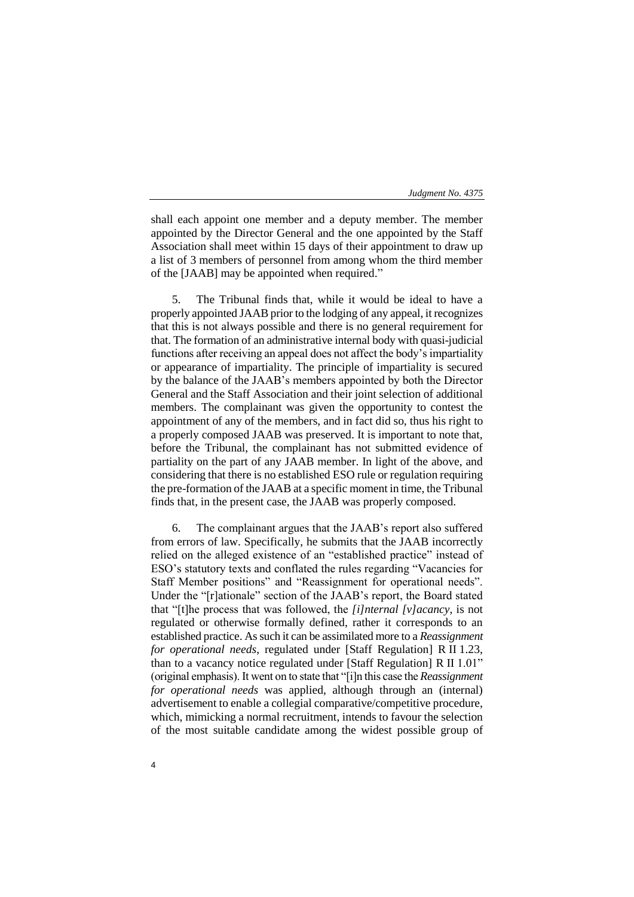shall each appoint one member and a deputy member. The member appointed by the Director General and the one appointed by the Staff Association shall meet within 15 days of their appointment to draw up a list of 3 members of personnel from among whom the third member of the [JAAB] may be appointed when required."

5. The Tribunal finds that, while it would be ideal to have a properly appointed JAAB prior to the lodging of any appeal, it recognizes that this is not always possible and there is no general requirement for that. The formation of an administrative internal body with quasi-judicial functions after receiving an appeal does not affect the body's impartiality or appearance of impartiality. The principle of impartiality is secured by the balance of the JAAB's members appointed by both the Director General and the Staff Association and their joint selection of additional members. The complainant was given the opportunity to contest the appointment of any of the members, and in fact did so, thus his right to a properly composed JAAB was preserved. It is important to note that, before the Tribunal, the complainant has not submitted evidence of partiality on the part of any JAAB member. In light of the above, and considering that there is no established ESO rule or regulation requiring the pre-formation of the JAAB at a specific moment in time, the Tribunal finds that, in the present case, the JAAB was properly composed.

6. The complainant argues that the JAAB's report also suffered from errors of law. Specifically, he submits that the JAAB incorrectly relied on the alleged existence of an "established practice" instead of ESO's statutory texts and conflated the rules regarding "Vacancies for Staff Member positions" and "Reassignment for operational needs". Under the "[r]ationale" section of the JAAB's report, the Board stated that "[t]he process that was followed, the *[i]nternal [v]acancy*, is not regulated or otherwise formally defined, rather it corresponds to an established practice. As such it can be assimilated more to a *Reassignment for operational needs*, regulated under [Staff Regulation] R II 1.23, than to a vacancy notice regulated under [Staff Regulation] R II 1.01" (original emphasis). It went on to state that "[i]n this case the *Reassignment for operational needs* was applied, although through an (internal) advertisement to enable a collegial comparative/competitive procedure, which, mimicking a normal recruitment, intends to favour the selection of the most suitable candidate among the widest possible group of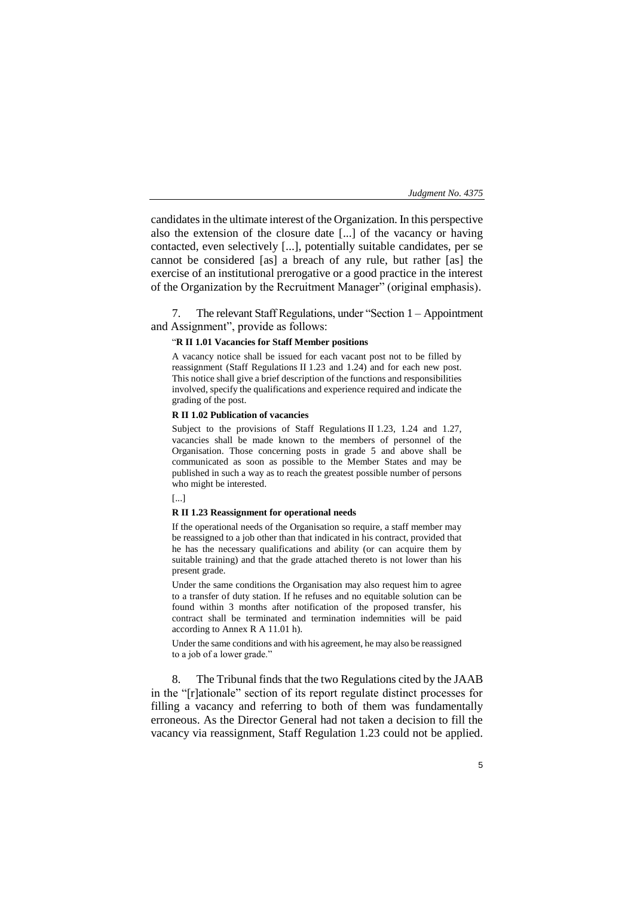candidates in the ultimate interest of the Organization. In this perspective also the extension of the closure date [...] of the vacancy or having contacted, even selectively [...], potentially suitable candidates, per se cannot be considered [as] a breach of any rule, but rather [as] the exercise of an institutional prerogative or a good practice in the interest of the Organization by the Recruitment Manager" (original emphasis).

7. The relevant Staff Regulations, under "Section 1 – Appointment and Assignment", provide as follows:

#### "**R II 1.01 Vacancies for Staff Member positions**

A vacancy notice shall be issued for each vacant post not to be filled by reassignment (Staff Regulations II 1.23 and 1.24) and for each new post. This notice shall give a brief description of the functions and responsibilities involved, specify the qualifications and experience required and indicate the grading of the post.

#### **R II 1.02 Publication of vacancies**

Subject to the provisions of Staff Regulations II 1.23, 1.24 and 1.27, vacancies shall be made known to the members of personnel of the Organisation. Those concerning posts in grade 5 and above shall be communicated as soon as possible to the Member States and may be published in such a way as to reach the greatest possible number of persons who might be interested.

[...]

#### **R II 1.23 Reassignment for operational needs**

If the operational needs of the Organisation so require, a staff member may be reassigned to a job other than that indicated in his contract, provided that he has the necessary qualifications and ability (or can acquire them by suitable training) and that the grade attached thereto is not lower than his present grade.

Under the same conditions the Organisation may also request him to agree to a transfer of duty station. If he refuses and no equitable solution can be found within 3 months after notification of the proposed transfer, his contract shall be terminated and termination indemnities will be paid according to Annex R A 11.01 h).

Under the same conditions and with his agreement, he may also be reassigned to a job of a lower grade."

8. The Tribunal finds that the two Regulations cited by the JAAB in the "[r]ationale" section of its report regulate distinct processes for filling a vacancy and referring to both of them was fundamentally erroneous. As the Director General had not taken a decision to fill the vacancy via reassignment, Staff Regulation 1.23 could not be applied.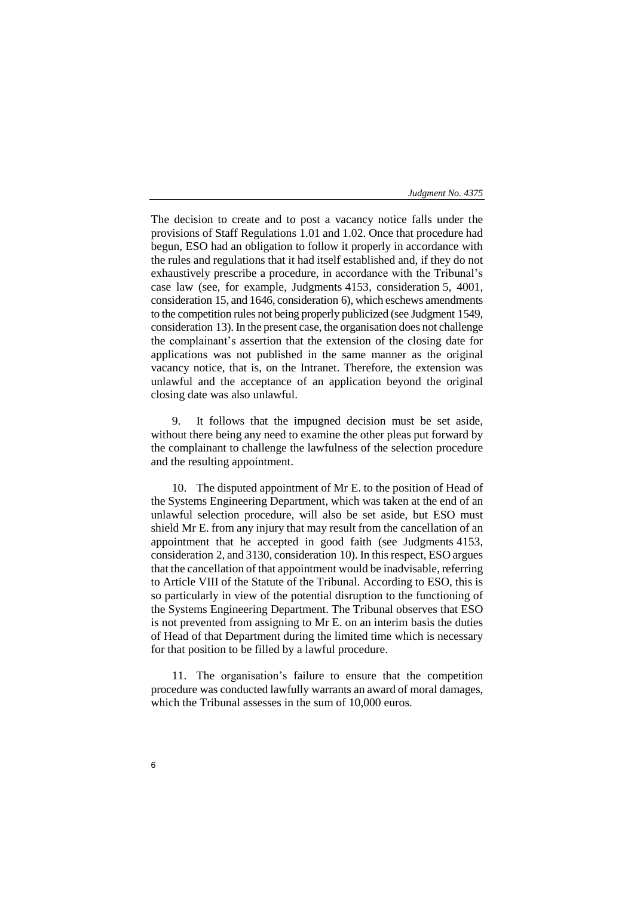The decision to create and to post a vacancy notice falls under the provisions of Staff Regulations 1.01 and 1.02. Once that procedure had begun, ESO had an obligation to follow it properly in accordance with the rules and regulations that it had itself established and, if they do not exhaustively prescribe a procedure, in accordance with the Tribunal's case law (see, for example, Judgments 4153, consideration 5, 4001, consideration 15, and 1646, consideration 6), which eschews amendments to the competition rules not being properly publicized (see Judgment 1549, consideration 13). In the present case, the organisation does not challenge the complainant's assertion that the extension of the closing date for applications was not published in the same manner as the original vacancy notice, that is, on the Intranet. Therefore, the extension was unlawful and the acceptance of an application beyond the original closing date was also unlawful.

9. It follows that the impugned decision must be set aside, without there being any need to examine the other pleas put forward by the complainant to challenge the lawfulness of the selection procedure and the resulting appointment.

10. The disputed appointment of Mr E. to the position of Head of the Systems Engineering Department, which was taken at the end of an unlawful selection procedure, will also be set aside, but ESO must shield Mr E. from any injury that may result from the cancellation of an appointment that he accepted in good faith (see Judgments 4153, consideration 2, and 3130, consideration 10). In thisrespect, ESO argues that the cancellation of that appointment would be inadvisable, referring to Article VIII of the Statute of the Tribunal. According to ESO, this is so particularly in view of the potential disruption to the functioning of the Systems Engineering Department. The Tribunal observes that ESO is not prevented from assigning to Mr E. on an interim basis the duties of Head of that Department during the limited time which is necessary for that position to be filled by a lawful procedure.

11. The organisation's failure to ensure that the competition procedure was conducted lawfully warrants an award of moral damages, which the Tribunal assesses in the sum of 10,000 euros.